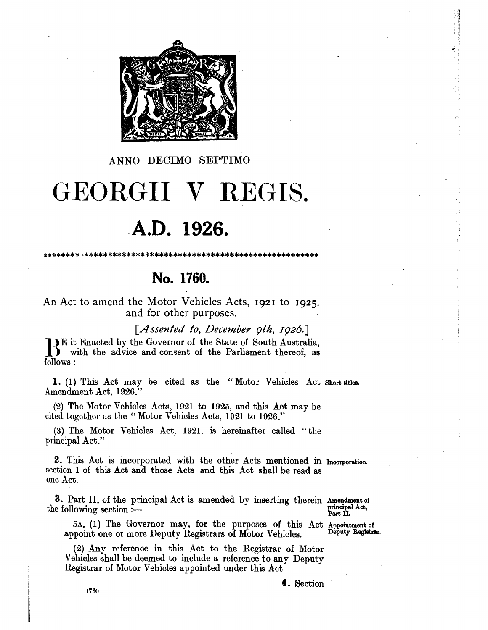

ANNO DECIMO SEPTIMO

# GEORGII V REGIS.

# A.D. 1926.

No. 1760.

## An Act to amend the Motor Vehicles Acts, 1921 to 1925. and for other purposes.

[Assented to, December  $qth$ , 1926.]

But Enacted by the Governor of the State of South Australia,<br>
If with the advice and consent of the Parliament thereof, as follows:

1. (1) This Act may be cited as the "Motor Vehicles Act Short titles. Amendment Act, 1926.

(2) The Motor Vehicles Acts, 1921 to 1925, and this Act may be cited together as the "Motor Vehicles Acts, 1921 to 1926."

(3) The Motor Vehicles Act, 1921, is hereinafter called "the principal Act."

2. This Act is incorporated with the other Acts mentioned in Incorporation. section 1 of this Act and those Acts and this Act shall be read as one Act.

3. Part II, of the principal Act is amended by inserting therein Amendment of the following section :-

principal Act,<br>Part II.-

5A. (1) The Governor may, for the purposes of this Act Appointment of Deputy Registrar. appoint one or more Deputy Registrars of Motor Vehicles.

(2) Any reference in this Act to the Registrar of Motor Vehicles shall be deemed to include a reference to any Deputy Registrar of Motor Vehicles appointed under this Act.

4. Section

1760